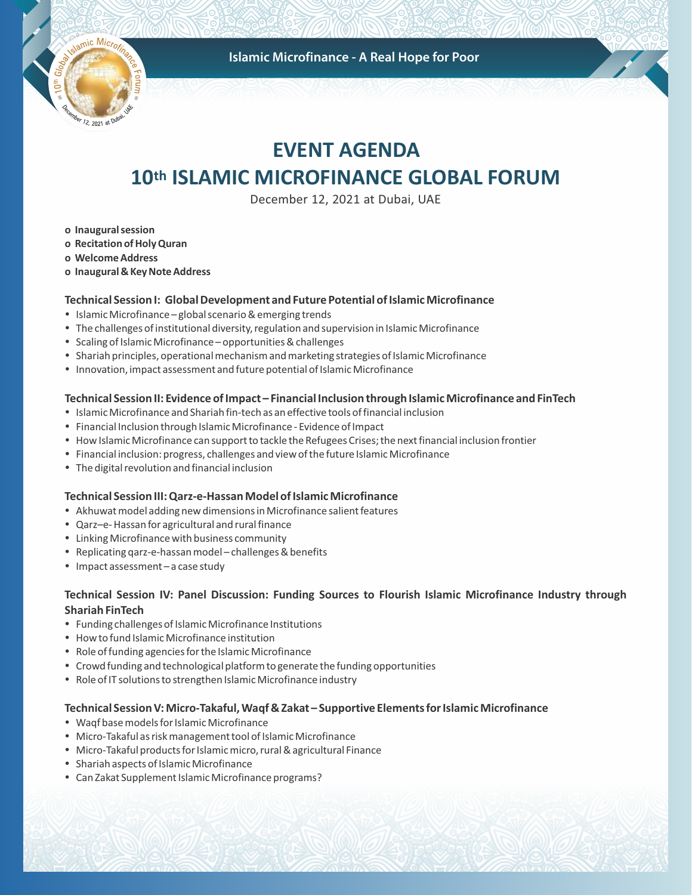Islamic Microfinance - A Real Hope for Poor



# **EVENT AGENDA 10th ISLAMIC MICROFINANCE GLOBAL FORUM**

December 12, 2021 at Dubai, UAE

- **o Inaugural session**
- **o Recitation of Holy Quran**
- **o Welcome Address**
- **o Inaugural & Key Note Address**

### **Technical Session I: Global Development and Future Potential of Islamic Microfinance**

- Islamic Microfinance global scenario & emerging trends
- The challenges of institutional diversity, regulation and supervision in Islamic Microfinance
- Scaling of Islamic Microfinance opportunities & challenges
- Shariah principles, operational mechanism and marketing strategies of Islamic Microfinance
- Innovation, impact assessment and future potential of Islamic Microfinance

### **Technical Session II: Evidence of Impact – Financial Inclusion through Islamic Microfinance and FinTech**

- Islamic Microfinance and Shariah fin-tech as an effective tools of financial inclusion
- Financial Inclusion through Islamic Microfinance Evidence of Impact
- How Islamic Microfinance can support to tackle the Refugees Crises; the next financial inclusion frontier
- Financial inclusion: progress, challenges and view of the future Islamic Microfinance
- The digital revolution and financial inclusion

### **Technical Session III: Qarz-e-Hassan Model of Islamic Microfinance**

- Akhuwat model adding new dimensions in Microfinance salient features
- Qarz-e- Hassan for agricultural and rural finance
- Linking Microfinance with business community
- Replicating qarz-e-hassan model challenges & benefits
- $\bullet$  Impact assessment a case study

## **Technical Session IV: Panel Discussion: Funding Sources to Flourish Islamic Microfinance Industry through Shariah FinTech**

- Funding challenges of Islamic Microfinance Institutions
- How to fund Islamic Microfinance institution
- Role of funding agencies for the Islamic Microfinance
- Crowd funding and technological platform to generate the funding opportunities
- Role of IT solutions to strengthen Islamic Microfinance industry

### **Technical Session V: Micro-Takaful, Waqf & Zakat – Supportive Elements for Islamic Microfinance**

- Waqf base models for Islamic Microfinance
- Micro-Takaful as risk management tool of Islamic Microfinance
- Micro-Takaful products for Islamic micro, rural & agricultural Finance
- Shariah aspects of Islamic Microfinance
- Can Zakat Supplement Islamic Microfinance programs?